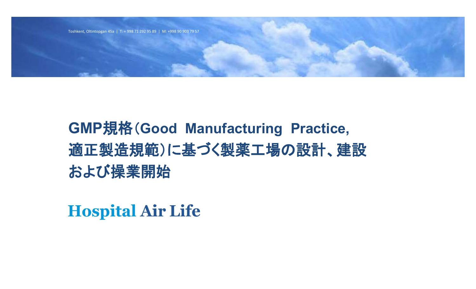

# **GMP規格(Good Manufacturing Practice,** 適正製造規範)に基づく製薬工場の設計、建設 および操業開始

**Hospital Air Life**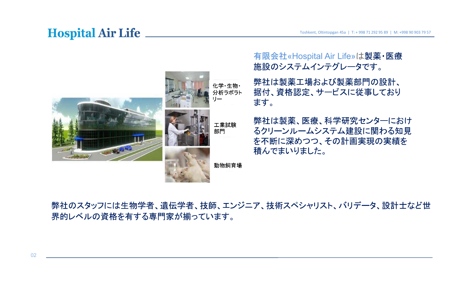

弊社のスタッフには生物学者、遺伝学者、技師、エンジニア、技術スペシャリスト、バリデータ、設計士など世 界的レベルの資格を有する専門家が揃っています。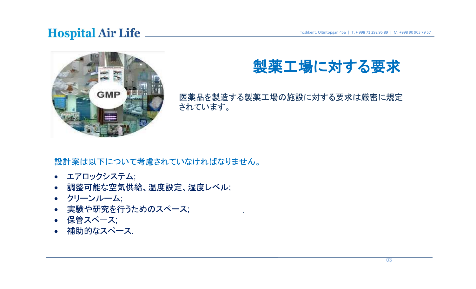

# Toshkent, Oltintopgan 45a | T: + 998 71 292 95 89 | M: +998 90 903 79 57<br>|-<br>|-

医薬品を製造する製薬工場の施設に対する要求は厳密に規定 されています。

.

## 設計案は以下について考慮されていなければなりません。

- $\frac{1}{2}$
- $\frac{1}{2}$
- $\frac{1}{2}$
- $\frac{1}{2}$
- 保管スペース;
- .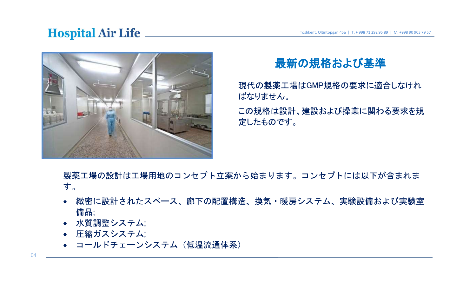

# Toshkent, Oltintopgan 45a | T: + 998 71 292 95 89 | M: +998 90 903 79 57<br>**の規格および基準**

現代の製薬工場はGMP規格の要求に適合しなけれ ばなりません。

この規格は設計、建設および操業に関わる要求を規 定したものです。

製薬工場の設計は工場用地のコンセプト立案から始まります。コンセプトには以下が含まれま す。

- 緻密に設計されたスペース、廊下の配置構造、換気・暖房システム、実験設備および実験室  $\frac{1}{2}$
- $\frac{1}{2}$
- $\frac{1}{2}$
- コールドチェーンシステム (低温流通体系)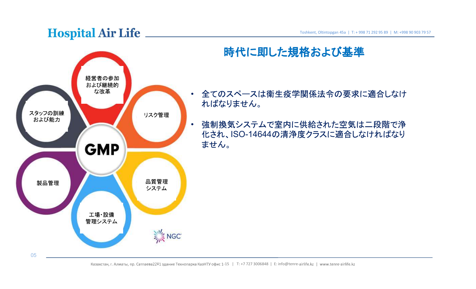

# Toshkent, Oltintopgan 45a | T: + 998 71 292 95 89 | M: +998 90 903 79 57

- 全てのスペースは衛生疫学関係法令の要求に適合しなけ ればなりません。
- 強制換気システムで室内に供給された空気は二段階で浄 化され、ISO-14644の清浄度クラスに適合しなければなり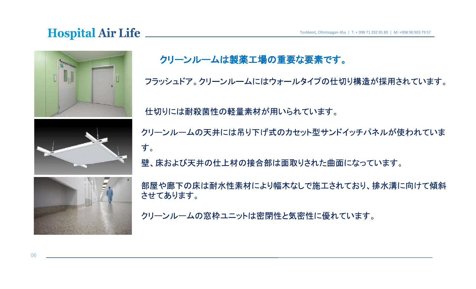





フラッシュドア。クリーンルームにはウォールタイプの仕切り構造が採用されています。

仕切りには耐殺菌性の軽量素材が用いられています。

クリーンルームの天井には吊り下げ式のカセット型サンドイッチパネルが使われていま す。

壁、床および天井の仕上材の接合部は面取りされた曲面になっています。

部屋や廊下の床は耐水性素材により幅木なしで施工されており、排水溝に向けて傾斜 させてあります。

クリーンルームの窓枠ユニットは密閉性と気密性に優れています。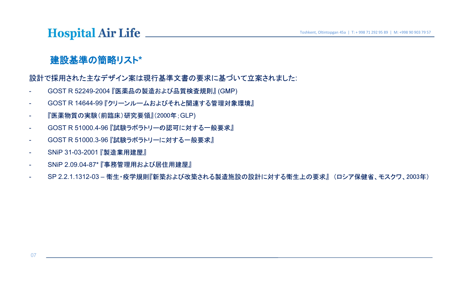## \*

: **Hospital Air Life<br>建設基準の簡略リスト\***<br>設計で採用された主なデザイン案は現行基準文書の要求に基<sup>-</sup><br>- GOST R 52249-2004 『医薬品の製造および品質検査規則』(GM<br>- GOST R 14644-99 『クリーンルームおよびそれと関連する管理対<br>- 『医薬物質の実験(前臨床)研究要領』(2000年;GLP) **Hospital Air Life**<br>**建設基準の簡略リスト\***<br>設計で採用された主なデザイン案は現行基準文書の要求に基づいて<br>- GOST R 52249-2004 『医薬品の製造および品質検査規則』 (GMP)<br>- GOST R 14644-99 『クリーンルームおよびそれと関連する管理対象環<br>- 『医薬物質の実験(前臨床)研究要領』(2000年; GLP)<br>- GOST R 51000.4-96 『試験ラボラトリーの認可に対する **Hospital Air Life**<br>**建設基準の簡略リスト\***<br>設計で採用された主なデザイン案は現行基準文書の要求に基:<br>- GOST R 52249-2004 『医薬品の製造および品質検査規則』(GM<br>- GOST R 14644-99 『クリーンルームおよびそれと関連する管理対<br>- 『医薬物質の実験(前臨床)研究要領』(2000年;GLP)<br>- GOST R 51000.4-96 『試験ラボラトリーの認可に対する一般要求<br>- G **Hospital Air Life**<br>**建設基準の簡略リスト\***<br>設計で採用された主なデザイン案は現行基準文書の要求に基:<br>- GOST R 52249-2004 『医薬品の製造および品質検査規則』 (GM<br>- GOST R 14644-99 『クリーンルームおよびそれと関連する管理対<br>- 『医薬物質の実験(前臨床)研究要領』(2000年; GLP)<br>- GOST R 51000.4-96 『試験ラボラトリーの認可に対する一般要求<br>-**Hospital Air Life**<br>**建設基準の簡略リスト\***<br>設計で採用された主なデザイン案は現行基準文書の要求に:<br>- GOST R 52249-2004 『医薬品の製造および品質検査規則』<br>- GOST R 14644-99『クリーンルームおよびそれと関連する管!<br>- 『医薬物質の実験(前臨床)研究要領』(2000年:GLP)<br>- GOST R 51000.4-96 『試験ラボラトリーの認可に対する一般!<br>- GOST R 5 **建設基準の簡略リスト\***<br>設計で採用された主なデザイン案は現行基準文書の要<br>- GOST R 52249-2004 『医薬品の製造および品質検査<br>- GOST R 14644-99 『クリーンルームおよびそれと関連す<br>- 『医薬物質の実験(前臨床)研究要領』(2000年;GLP)<br>- GOST R 51000.4-96 『試験ラボラトリーの認可に対する<br>- GOST R 51000.3-96 『試験ラボラトリーの認可に対する<br>- SN

- 
- 
- 
- GOST R 51000.4-96 『試験ラボラトリーの認可に対する一般要求』
- 
- 
- 
- **建設基準の簡略リスト\***<br>設計で採用された主なデザイン案は現行基準文書の要求に基づいて立案されました:<br>- GOST R 52249-2004 『医薬品の製造および品質検査規則』(GMP)<br>- GOST R 14644-99 『クリーンルームおよびそれと関連する管理対象環境』<br>- 『医薬物質の実験(前臨床)研究要領』(2000年:GLP)<br>- GOST R 51000.4-96 『試験ラボラトリーの認可に対する一般要求』<br>- GOST